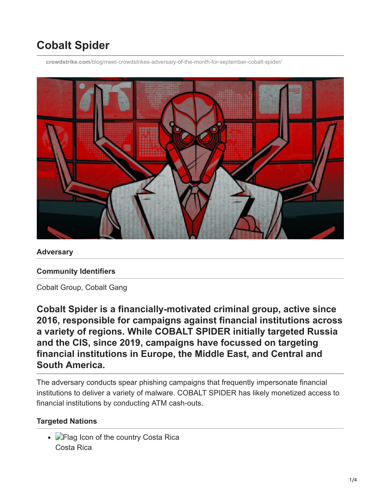# **Cobalt Spider**

**crowdstrike.com**[/blog/meet-crowdstrikes-adversary-of-the-month-for-september-cobalt-spider/](https://www.crowdstrike.com/blog/meet-crowdstrikes-adversary-of-the-month-for-september-cobalt-spider/)



**Adversary**

#### **Community Identifiers**

Cobalt Group, Cobalt Gang

**Cobalt Spider is a financially-motivated criminal group, active since 2016, responsible for campaigns against financial institutions across a variety of regions. While COBALT SPIDER initially targeted Russia and the CIS, since 2019, campaigns have focussed on targeting financial institutions in Europe, the Middle East, and Central and South America.**

The adversary conducts spear phishing campaigns that frequently impersonate financial institutions to deliver a variety of malware. COBALT SPIDER has likely monetized access to financial institutions by conducting ATM cash-outs.

#### **Targeted Nations**

• Flag Icon of the country Costa Rica Costa Rica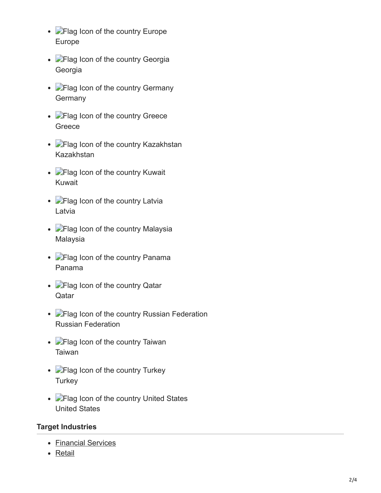- **P**Flag Icon of the country Europe Europe
- **Flag Icon of the country Georgia** Georgia
- **P**Flag Icon of the country Germany **Germany**
- **Flag Icon of the country Greece** Greece
- **Flag Icon of the country Kazakhstan** Kazakhstan
- **Flag Icon of the country Kuwait** Kuwait
- **Flag Icon of the country Latvia** Latvia
- **Flag Icon of the country Malaysia** Malaysia
- **Flag Icon of the country Panama** Panama
- **Flag Icon of the country Qatar Oatar**
- **C**Flag Icon of the country Russian Federation Russian Federation
- **Flag Icon of the country Taiwan** Taiwan
- **Flag Icon of the country Turkey Turkey**
- **Flag Icon of the country United States** United States

#### **Target Industries**

- [Financial Services](https://www.crowdstrike.com/en-US/industry/financial-services/)
- [Retail](https://www.crowdstrike.com/en-US/industry/retail/)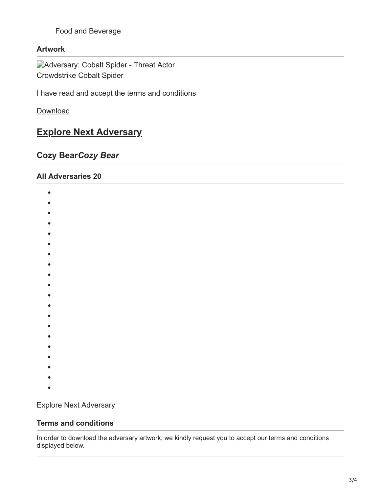Food and Beverage

#### **Artwork**

Adversary: Cobalt Spider - Threat Actor Crowdstrike Cobalt Spider

I have read and accept the terms and conditions

[Download](https://www.crowdstrike.com/en-US/)

## **[Explore Next Adversary](https://www.crowdstrike.com/en-US/adversary/cozy-bear/)**

### **Cozy Bear***Cozy Bear*

#### **All Adversaries 20**

- $\bullet$
- $\bullet$
- $\bullet$
- 
- 
- 
- 
- 
- 
- 
- 
- 
- 
- 
- 
- 
- 
- 
- 
- $\bullet$
- 

Explore Next Adversary

#### **Terms and conditions**

In order to download the adversary artwork, we kindly request you to accept our terms and conditions displayed below.